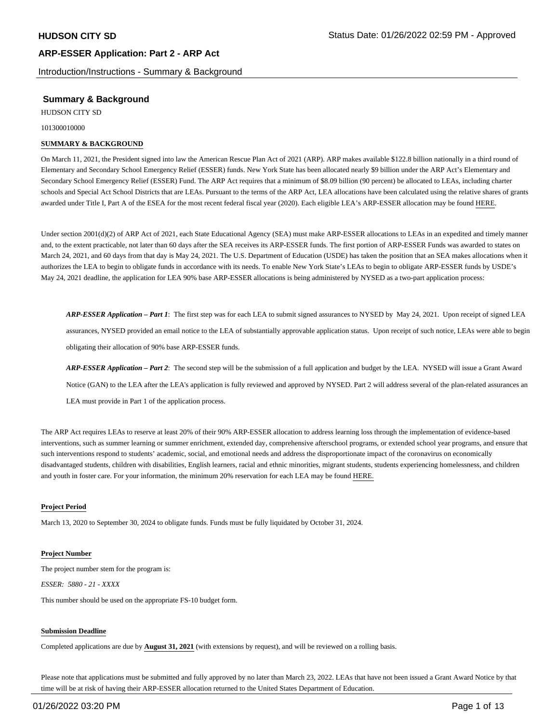Introduction/Instructions - Summary & Background

## **Summary & Background**

HUDSON CITY SD

101300010000

#### **SUMMARY & BACKGROUND**

On March 11, 2021, the President signed into law the American Rescue Plan Act of 2021 (ARP). ARP makes available \$122.8 billion nationally in a third round of Elementary and Secondary School Emergency Relief (ESSER) funds. New York State has been allocated nearly \$9 billion under the ARP Act's Elementary and Secondary School Emergency Relief (ESSER) Fund. The ARP Act requires that a minimum of \$8.09 billion (90 percent) be allocated to LEAs, including charter schools and Special Act School Districts that are LEAs. Pursuant to the terms of the ARP Act, LEA allocations have been calculated using the relative shares of grants awarded under Title I, Part A of the ESEA for the most recent federal fiscal year (2020). Each eligible LEA's ARP-ESSER allocation may be found HERE.

Under section 2001(d)(2) of ARP Act of 2021, each State Educational Agency (SEA) must make ARP-ESSER allocations to LEAs in an expedited and timely manner and, to the extent practicable, not later than 60 days after the SEA receives its ARP-ESSER funds. The first portion of ARP-ESSER Funds was awarded to states on March 24, 2021, and 60 days from that day is May 24, 2021. The U.S. Department of Education (USDE) has taken the position that an SEA makes allocations when it authorizes the LEA to begin to obligate funds in accordance with its needs. To enable New York State's LEAs to begin to obligate ARP-ESSER funds by USDE's May 24, 2021 deadline, the application for LEA 90% base ARP-ESSER allocations is being administered by NYSED as a two-part application process:

*ARP-ESSER Application – Part 1*: The first step was for each LEA to submit signed assurances to NYSED by May 24, 2021. Upon receipt of signed LEA assurances, NYSED provided an email notice to the LEA of substantially approvable application status. Upon receipt of such notice, LEAs were able to begin obligating their allocation of 90% base ARP-ESSER funds.

*ARP-ESSER Application – Part 2*: The second step will be the submission of a full application and budget by the LEA. NYSED will issue a Grant Award Notice (GAN) to the LEA after the LEA's application is fully reviewed and approved by NYSED. Part 2 will address several of the plan-related assurances an LEA must provide in Part 1 of the application process.

The ARP Act requires LEAs to reserve at least 20% of their 90% ARP-ESSER allocation to address learning loss through the implementation of evidence-based interventions, such as summer learning or summer enrichment, extended day, comprehensive afterschool programs, or extended school year programs, and ensure that such interventions respond to students' academic, social, and emotional needs and address the disproportionate impact of the coronavirus on economically disadvantaged students, children with disabilities, English learners, racial and ethnic minorities, migrant students, students experiencing homelessness, and children and youth in foster care. For your information, the minimum 20% reservation for each LEA may be found HERE.

#### **Project Period**

March 13, 2020 to September 30, 2024 to obligate funds. Funds must be fully liquidated by October 31, 2024.

#### **Project Number**

The project number stem for the program is: *ESSER: 5880 - 21 - XXXX* 

This number should be used on the appropriate FS-10 budget form.

#### **Submission Deadline**

Completed applications are due by **August 31, 2021** (with extensions by request), and will be reviewed on a rolling basis.

Please note that applications must be submitted and fully approved by no later than March 23, 2022. LEAs that have not been issued a Grant Award Notice by that time will be at risk of having their ARP-ESSER allocation returned to the United States Department of Education.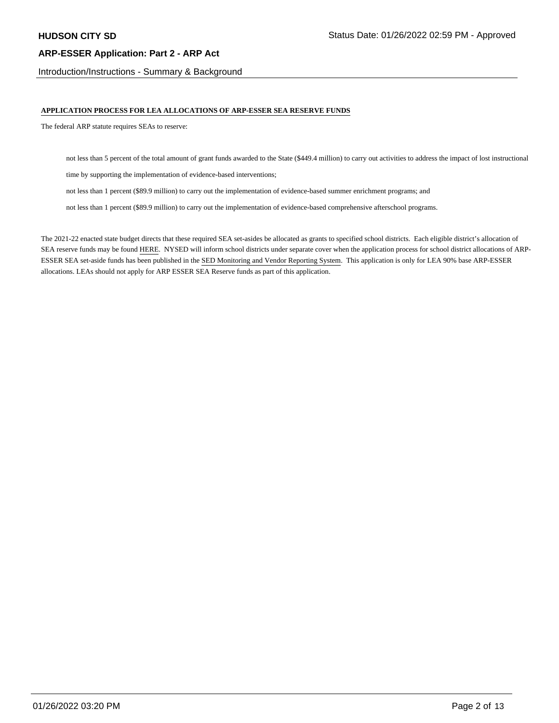Introduction/Instructions - Summary & Background

#### **APPLICATION PROCESS FOR LEA ALLOCATIONS OF ARP-ESSER SEA RESERVE FUNDS**

The federal ARP statute requires SEAs to reserve:

not less than 5 percent of the total amount of grant funds awarded to the State (\$449.4 million) to carry out activities to address the impact of lost instructional

time by supporting the implementation of evidence-based interventions;

not less than 1 percent (\$89.9 million) to carry out the implementation of evidence-based summer enrichment programs; and

not less than 1 percent (\$89.9 million) to carry out the implementation of evidence-based comprehensive afterschool programs.

The 2021-22 enacted state budget directs that these required SEA set-asides be allocated as grants to specified school districts. Each eligible district's allocation of SEA reserve funds may be found HERE. NYSED will inform school districts under separate cover when the application process for school district allocations of ARP-ESSER SEA set-aside funds has been published in the SED Monitoring and Vendor Reporting System. This application is only for LEA 90% base ARP-ESSER allocations. LEAs should not apply for ARP ESSER SEA Reserve funds as part of this application.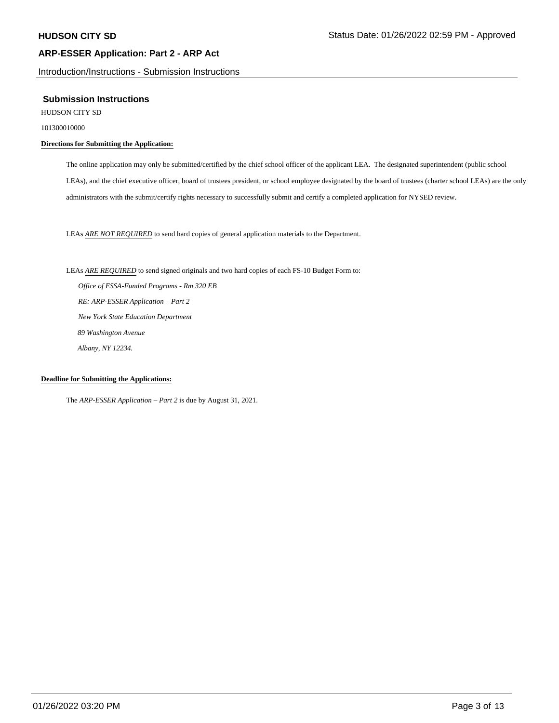Introduction/Instructions - Submission Instructions

#### **Submission Instructions**

HUDSON CITY SD

101300010000

### **Directions for Submitting the Application:**

The online application may only be submitted/certified by the chief school officer of the applicant LEA. The designated superintendent (public school LEAs), and the chief executive officer, board of trustees president, or school employee designated by the board of trustees (charter school LEAs) are the only administrators with the submit/certify rights necessary to successfully submit and certify a completed application for NYSED review.

LEAs *ARE NOT REQUIRED* to send hard copies of general application materials to the Department.

LEAs *ARE REQUIRED* to send signed originals and two hard copies of each FS-10 Budget Form to:  *Office of ESSA-Funded Programs - Rm 320 EB RE: ARP-ESSER Application – Part 2 New York State Education Department 89 Washington Avenue Albany, NY 12234.* 

#### **Deadline for Submitting the Applications:**

The *ARP-ESSER Application – Part 2* is due by August 31, 2021.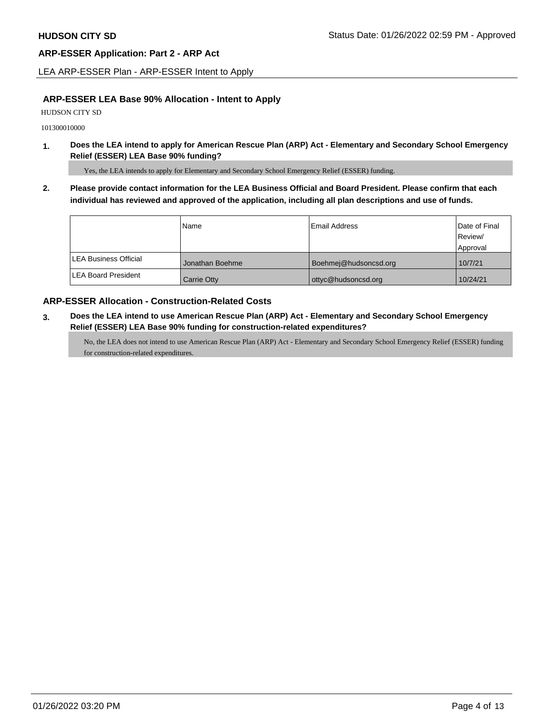LEA ARP-ESSER Plan - ARP-ESSER Intent to Apply

### **ARP-ESSER LEA Base 90% Allocation - Intent to Apply**

HUDSON CITY SD

101300010000

**1. Does the LEA intend to apply for American Rescue Plan (ARP) Act - Elementary and Secondary School Emergency Relief (ESSER) LEA Base 90% funding?** 

Yes, the LEA intends to apply for Elementary and Secondary School Emergency Relief (ESSER) funding.

**2. Please provide contact information for the LEA Business Official and Board President. Please confirm that each individual has reviewed and approved of the application, including all plan descriptions and use of funds.** 

|                               | Name            | <b>Email Address</b>  | Date of Final |
|-------------------------------|-----------------|-----------------------|---------------|
|                               |                 |                       | Review/       |
|                               |                 |                       | Approval      |
| <b>ILEA Business Official</b> | Jonathan Boehme | Boehmej@hudsoncsd.org | 10/7/21       |
| <b>LEA Board President</b>    | Carrie Otty     | ottyc@hudsoncsd.org   | 10/24/21      |

### **ARP-ESSER Allocation - Construction-Related Costs**

**3. Does the LEA intend to use American Rescue Plan (ARP) Act - Elementary and Secondary School Emergency Relief (ESSER) LEA Base 90% funding for construction-related expenditures?** 

No, the LEA does not intend to use American Rescue Plan (ARP) Act - Elementary and Secondary School Emergency Relief (ESSER) funding for construction-related expenditures.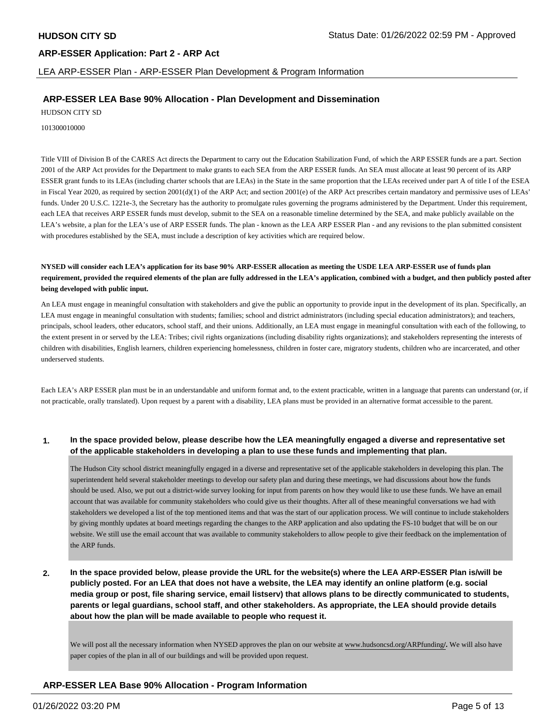LEA ARP-ESSER Plan - ARP-ESSER Plan Development & Program Information

### **ARP-ESSER LEA Base 90% Allocation - Plan Development and Dissemination**

HUDSON CITY SD

101300010000

Title VIII of Division B of the CARES Act directs the Department to carry out the Education Stabilization Fund, of which the ARP ESSER funds are a part. Section 2001 of the ARP Act provides for the Department to make grants to each SEA from the ARP ESSER funds. An SEA must allocate at least 90 percent of its ARP ESSER grant funds to its LEAs (including charter schools that are LEAs) in the State in the same proportion that the LEAs received under part A of title I of the ESEA in Fiscal Year 2020, as required by section 2001(d)(1) of the ARP Act; and section 2001(e) of the ARP Act prescribes certain mandatory and permissive uses of LEAs' funds. Under 20 U.S.C. 1221e-3, the Secretary has the authority to promulgate rules governing the programs administered by the Department. Under this requirement, each LEA that receives ARP ESSER funds must develop, submit to the SEA on a reasonable timeline determined by the SEA, and make publicly available on the LEA's website, a plan for the LEA's use of ARP ESSER funds. The plan - known as the LEA ARP ESSER Plan - and any revisions to the plan submitted consistent with procedures established by the SEA, must include a description of key activities which are required below.

**NYSED will consider each LEA's application for its base 90% ARP-ESSER allocation as meeting the USDE LEA ARP-ESSER use of funds plan requirement, provided the required elements of the plan are fully addressed in the LEA's application, combined with a budget, and then publicly posted after being developed with public input.** 

An LEA must engage in meaningful consultation with stakeholders and give the public an opportunity to provide input in the development of its plan. Specifically, an LEA must engage in meaningful consultation with students; families; school and district administrators (including special education administrators); and teachers, principals, school leaders, other educators, school staff, and their unions. Additionally, an LEA must engage in meaningful consultation with each of the following, to the extent present in or served by the LEA: Tribes; civil rights organizations (including disability rights organizations); and stakeholders representing the interests of children with disabilities, English learners, children experiencing homelessness, children in foster care, migratory students, children who are incarcerated, and other underserved students.

Each LEA's ARP ESSER plan must be in an understandable and uniform format and, to the extent practicable, written in a language that parents can understand (or, if not practicable, orally translated). Upon request by a parent with a disability, LEA plans must be provided in an alternative format accessible to the parent.

#### **1. In the space provided below, please describe how the LEA meaningfully engaged a diverse and representative set of the applicable stakeholders in developing a plan to use these funds and implementing that plan.**

The Hudson City school district meaningfully engaged in a diverse and representative set of the applicable stakeholders in developing this plan. The superintendent held several stakeholder meetings to develop our safety plan and during these meetings, we had discussions about how the funds should be used. Also, we put out a district-wide survey looking for input from parents on how they would like to use these funds. We have an email account that was available for community stakeholders who could give us their thoughts. After all of these meaningful conversations we had with stakeholders we developed a list of the top mentioned items and that was the start of our application process. We will continue to include stakeholders by giving monthly updates at board meetings regarding the changes to the ARP application and also updating the FS-10 budget that will be on our website. We still use the email account that was available to community stakeholders to allow people to give their feedback on the implementation of the ARP funds.

**2. In the space provided below, please provide the URL for the website(s) where the LEA ARP-ESSER Plan is/will be publicly posted. For an LEA that does not have a website, the LEA may identify an online platform (e.g. social media group or post, file sharing service, email listserv) that allows plans to be directly communicated to students, parents or legal guardians, school staff, and other stakeholders. As appropriate, the LEA should provide details about how the plan will be made available to people who request it.** 

We will post all the necessary information when NYSED approves the plan on our website at [www.hudsoncsd.org](www.hudsoncsd.org/ARPfunding)**/**ARPfunding**/.** We will also have paper copies of the plan in all of our buildings and will be provided upon request.

## **ARP-ESSER LEA Base 90% Allocation - Program Information**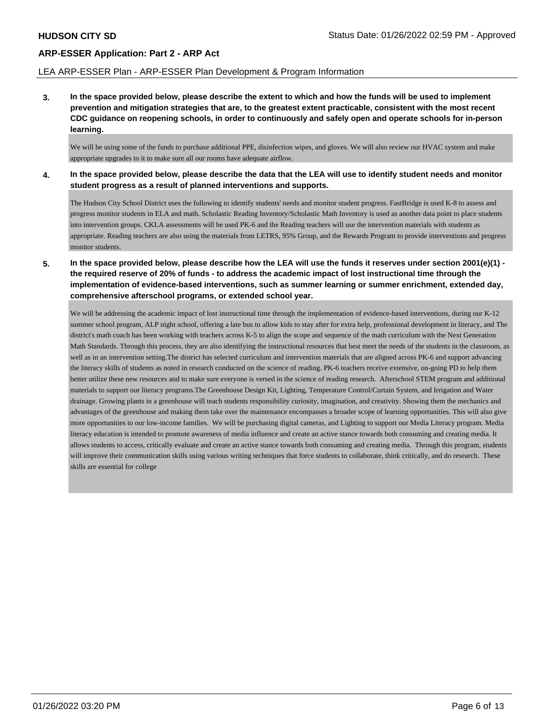#### LEA ARP-ESSER Plan - ARP-ESSER Plan Development & Program Information

**3. In the space provided below, please describe the extent to which and how the funds will be used to implement prevention and mitigation strategies that are, to the greatest extent practicable, consistent with the most recent CDC guidance on reopening schools, in order to continuously and safely open and operate schools for in-person learning.** 

We will be using some of the funds to purchase additional PPE, disinfection wipes, and gloves. We will also review our HVAC system and make appropriate upgrades to it to make sure all our rooms have adequate airflow.

**4. In the space provided below, please describe the data that the LEA will use to identify student needs and monitor student progress as a result of planned interventions and supports.** 

The Hudson City School District uses the following to identify students' needs and monitor student progress. FastBridge is used K-8 to assess and progress monitor students in ELA and math. Scholastic Reading Inventory/Scholastic Math Inventory is used as another data point to place students into intervention groups. CKLA assessments will be used PK-6 and the Reading teachers will use the intervention materials with students as appropriate. Reading teachers are also using the materials from LETRS, 95% Group, and the Rewards Program to provide interventions and progress monitor students.

**5. In the space provided below, please describe how the LEA will use the funds it reserves under section 2001(e)(1) the required reserve of 20% of funds - to address the academic impact of lost instructional time through the implementation of evidence-based interventions, such as summer learning or summer enrichment, extended day, comprehensive afterschool programs, or extended school year.** 

We will be addressing the academic impact of lost instructional time through the implementation of evidence-based interventions, during our K-12 summer school program, ALP night school, offering a late bus to allow kids to stay after for extra help, professional development in literacy, and The district's math coach has been working with teachers across K-5 to align the scope and sequence of the math curriculum with the Next Generation Math Standards. Through this process, they are also identifying the instructional resources that best meet the needs of the students in the classroom, as well as in an intervention setting.The district has selected curriculum and intervention materials that are aligned across PK-6 and support advancing the literacy skills of students as noted in research conducted on the science of reading. PK-6 teachers receive extensive, on-going PD to help them better utilize these new resources and to make sure everyone is versed in the science of reading research. Afterschool STEM program and additional materials to support our literacy programs.The Greenhouse Design Kit, Lighting, Temperature Control/Curtain System, and Irrigation and Water drainage. Growing plants in a greenhouse will teach students responsibility curiosity, imagination, and creativity. Showing them the mechanics and advantages of the greenhouse and making them take over the maintenance encompasses a broader scope of learning opportunities. This will also give more opportunities to our low-income families. We will be purchasing digital cameras, and Lighting to support our Media Literacy program. Media literacy education is intended to promote awareness of media influence and create an active stance towards both consuming and creating media. It allows students to access, critically evaluate and create an active stance towards both consuming and creating media. Through this program, students will improve their communication skills using various writing techniques that force students to collaborate, think critically, and do research. These skills are essential for college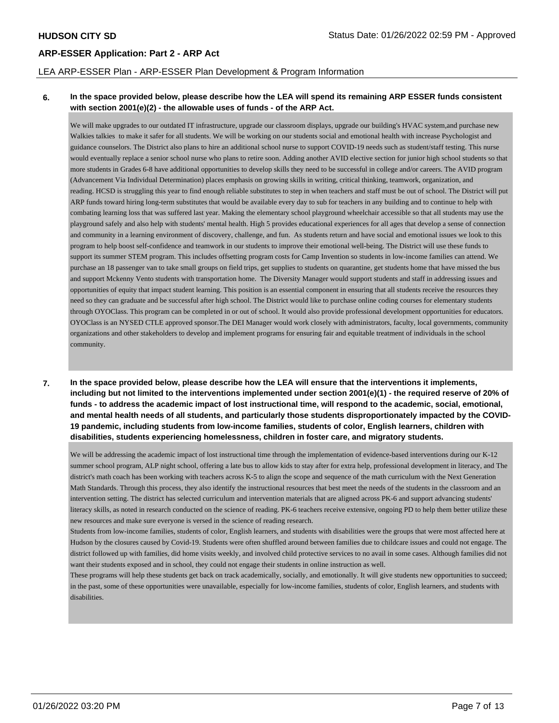#### LEA ARP-ESSER Plan - ARP-ESSER Plan Development & Program Information

#### **6. In the space provided below, please describe how the LEA will spend its remaining ARP ESSER funds consistent with section 2001(e)(2) - the allowable uses of funds - of the ARP Act.**

We will make upgrades to our outdated IT infrastructure, upgrade our classroom displays, upgrade our building's HVAC system,and purchase new Walkies talkies to make it safer for all students. We will be working on our students social and emotional health with increase Psychologist and guidance counselors. The District also plans to hire an additional school nurse to support COVID-19 needs such as student/staff testing. This nurse would eventually replace a senior school nurse who plans to retire soon. Adding another AVID elective section for junior high school students so that more students in Grades 6-8 have additional opportunities to develop skills they need to be successful in college and/or careers. The AVID program (Advancement Via Individual Determination) places emphasis on growing skills in writing, critical thinking, teamwork, organization, and reading. HCSD is struggling this year to find enough reliable substitutes to step in when teachers and staff must be out of school. The District will put ARP funds toward hiring long-term substitutes that would be available every day to sub for teachers in any building and to continue to help with combating learning loss that was suffered last year. Making the elementary school playground wheelchair accessible so that all students may use the playground safely and also help with students' mental health. High 5 provides educational experiences for all ages that develop a sense of connection and community in a learning environment of discovery, challenge, and fun. As students return and have social and emotional issues we look to this program to help boost self-confidence and teamwork in our students to improve their emotional well-being. The District will use these funds to support its summer STEM program. This includes offsetting program costs for Camp Invention so students in low-income families can attend. We purchase an 18 passenger van to take small groups on field trips, get supplies to students on quarantine, get students home that have missed the bus and support Mckenny Vento students with transportation home. The Diversity Manager would support students and staff in addressing issues and opportunities of equity that impact student learning. This position is an essential component in ensuring that all students receive the resources they need so they can graduate and be successful after high school. The District would like to purchase online coding courses for elementary students through OYOClass. This program can be completed in or out of school. It would also provide professional development opportunities for educators. OYOClass is an NYSED CTLE approved sponsor.The DEI Manager would work closely with administrators, faculty, local governments, community organizations and other stakeholders to develop and implement programs for ensuring fair and equitable treatment of individuals in the school community.

**7. In the space provided below, please describe how the LEA will ensure that the interventions it implements, including but not limited to the interventions implemented under section 2001(e)(1) - the required reserve of 20% of funds - to address the academic impact of lost instructional time, will respond to the academic, social, emotional, and mental health needs of all students, and particularly those students disproportionately impacted by the COVID-19 pandemic, including students from low-income families, students of color, English learners, children with disabilities, students experiencing homelessness, children in foster care, and migratory students.** 

We will be addressing the academic impact of lost instructional time through the implementation of evidence-based interventions during our K-12 summer school program, ALP night school, offering a late bus to allow kids to stay after for extra help, professional development in literacy, and The district's math coach has been working with teachers across K-5 to align the scope and sequence of the math curriculum with the Next Generation Math Standards. Through this process, they also identify the instructional resources that best meet the needs of the students in the classroom and an intervention setting. The district has selected curriculum and intervention materials that are aligned across PK-6 and support advancing students' literacy skills, as noted in research conducted on the science of reading. PK-6 teachers receive extensive, ongoing PD to help them better utilize these new resources and make sure everyone is versed in the science of reading research.

Students from low-income families, students of color, English learners, and students with disabilities were the groups that were most affected here at Hudson by the closures caused by Covid-19. Students were often shuffled around between families due to childcare issues and could not engage. The district followed up with families, did home visits weekly, and involved child protective services to no avail in some cases. Although families did not want their students exposed and in school, they could not engage their students in online instruction as well.

These programs will help these students get back on track academically, socially, and emotionally. It will give students new opportunities to succeed; in the past, some of these opportunities were unavailable, especially for low-income families, students of color, English learners, and students with disabilities.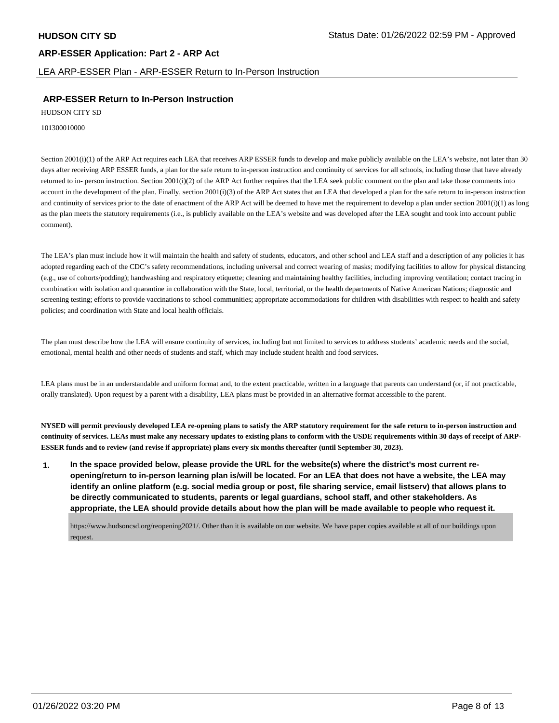# **ARP-ESSER Application: Part 2 - ARP Act**  LEA ARP-ESSER Plan - ARP-ESSER Return to In-Person Instruction

# **ARP-ESSER Return to In-Person Instruction**

HUDSON CITY SD

101300010000

Section 2001(i)(1) of the ARP Act requires each LEA that receives ARP ESSER funds to develop and make publicly available on the LEA's website, not later than 30 days after receiving ARP ESSER funds, a plan for the safe return to in-person instruction and continuity of services for all schools, including those that have already returned to in- person instruction. Section 2001(i)(2) of the ARP Act further requires that the LEA seek public comment on the plan and take those comments into account in the development of the plan. Finally, section 2001(i)(3) of the ARP Act states that an LEA that developed a plan for the safe return to in-person instruction and continuity of services prior to the date of enactment of the ARP Act will be deemed to have met the requirement to develop a plan under section  $2001(i)(1)$  as long as the plan meets the statutory requirements (i.e., is publicly available on the LEA's website and was developed after the LEA sought and took into account public comment).

The LEA's plan must include how it will maintain the health and safety of students, educators, and other school and LEA staff and a description of any policies it has adopted regarding each of the CDC's safety recommendations, including universal and correct wearing of masks; modifying facilities to allow for physical distancing (e.g., use of cohorts/podding); handwashing and respiratory etiquette; cleaning and maintaining healthy facilities, including improving ventilation; contact tracing in combination with isolation and quarantine in collaboration with the State, local, territorial, or the health departments of Native American Nations; diagnostic and screening testing; efforts to provide vaccinations to school communities; appropriate accommodations for children with disabilities with respect to health and safety policies; and coordination with State and local health officials.

The plan must describe how the LEA will ensure continuity of services, including but not limited to services to address students' academic needs and the social, emotional, mental health and other needs of students and staff, which may include student health and food services.

LEA plans must be in an understandable and uniform format and, to the extent practicable, written in a language that parents can understand (or, if not practicable, orally translated). Upon request by a parent with a disability, LEA plans must be provided in an alternative format accessible to the parent.

**NYSED will permit previously developed LEA re-opening plans to satisfy the ARP statutory requirement for the safe return to in-person instruction and continuity of services. LEAs must make any necessary updates to existing plans to conform with the USDE requirements within 30 days of receipt of ARP-ESSER funds and to review (and revise if appropriate) plans every six months thereafter (until September 30, 2023).** 

**1. In the space provided below, please provide the URL for the website(s) where the district's most current reopening/return to in-person learning plan is/will be located. For an LEA that does not have a website, the LEA may identify an online platform (e.g. social media group or post, file sharing service, email listserv) that allows plans to be directly communicated to students, parents or legal guardians, school staff, and other stakeholders. As appropriate, the LEA should provide details about how the plan will be made available to people who request it.** 

<https://www.hudsoncsd.org/reopening2021>/. Other than it is available on our website. We have paper copies available at all of our buildings upon request.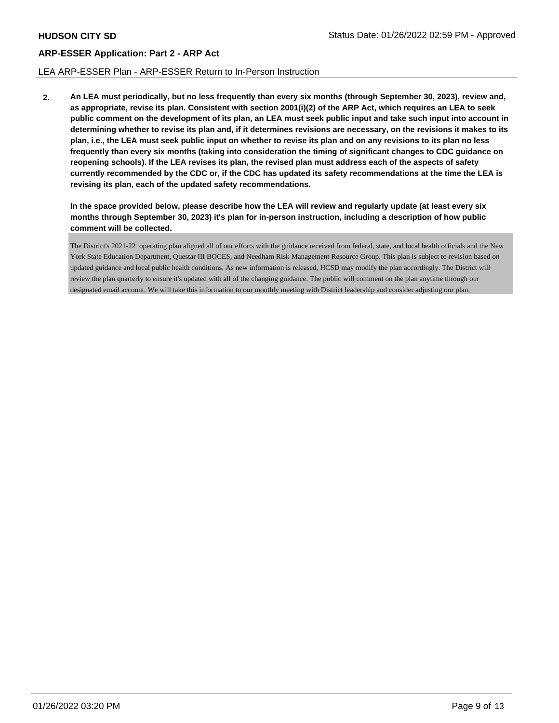#### LEA ARP-ESSER Plan - ARP-ESSER Return to In-Person Instruction

**2. An LEA must periodically, but no less frequently than every six months (through September 30, 2023), review and, as appropriate, revise its plan. Consistent with section 2001(i)(2) of the ARP Act, which requires an LEA to seek public comment on the development of its plan, an LEA must seek public input and take such input into account in determining whether to revise its plan and, if it determines revisions are necessary, on the revisions it makes to its plan, i.e., the LEA must seek public input on whether to revise its plan and on any revisions to its plan no less frequently than every six months (taking into consideration the timing of significant changes to CDC guidance on reopening schools). If the LEA revises its plan, the revised plan must address each of the aspects of safety currently recommended by the CDC or, if the CDC has updated its safety recommendations at the time the LEA is revising its plan, each of the updated safety recommendations.** 

**In the space provided below, please describe how the LEA will review and regularly update (at least every six months through September 30, 2023) it's plan for in-person instruction, including a description of how public comment will be collected.** 

The District's 2021-22 operating plan aligned all of our efforts with the guidance received from federal, state, and local health officials and the New York State Education Department, Questar III BOCES, and Needham Risk Management Resource Group. This plan is subject to revision based on updated guidance and local public health conditions. As new information is released, HCSD may modify the plan accordingly. The District will review the plan quarterly to ensure it's updated with all of the changing guidance. The public will comment on the plan anytime through our designated email account. We will take this information to our monthly meeting with District leadership and consider adjusting our plan.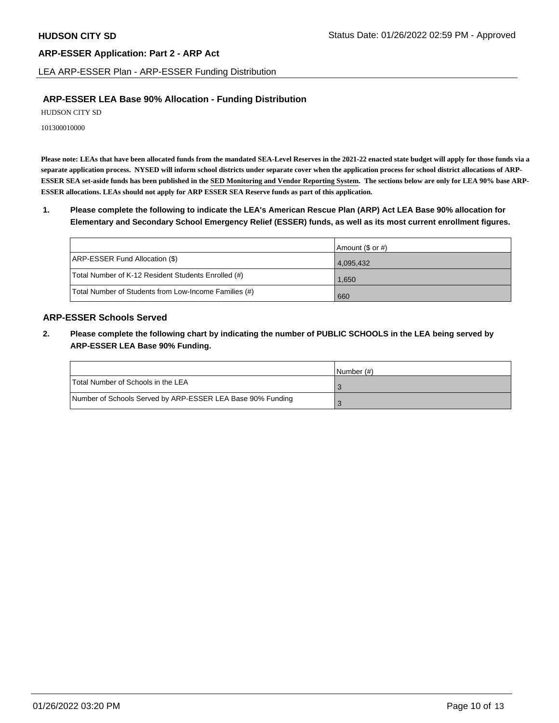LEA ARP-ESSER Plan - ARP-ESSER Funding Distribution

### **ARP-ESSER LEA Base 90% Allocation - Funding Distribution**

HUDSON CITY SD

101300010000

**Please note: LEAs that have been allocated funds from the mandated SEA-Level Reserves in the 2021-22 enacted state budget will apply for those funds via a separate application process. NYSED will inform school districts under separate cover when the application process for school district allocations of ARP-ESSER SEA set-aside funds has been published in the SED Monitoring and Vendor Reporting System. The sections below are only for LEA 90% base ARP-ESSER allocations. LEAs should not apply for ARP ESSER SEA Reserve funds as part of this application.** 

**1. Please complete the following to indicate the LEA's American Rescue Plan (ARP) Act LEA Base 90% allocation for Elementary and Secondary School Emergency Relief (ESSER) funds, as well as its most current enrollment figures.** 

|                                                       | Amount (\$ or #) |
|-------------------------------------------------------|------------------|
| ARP-ESSER Fund Allocation (\$)                        | 4,095,432        |
| Total Number of K-12 Resident Students Enrolled (#)   | 1.650            |
| Total Number of Students from Low-Income Families (#) | 660              |

## **ARP-ESSER Schools Served**

**2. Please complete the following chart by indicating the number of PUBLIC SCHOOLS in the LEA being served by ARP-ESSER LEA Base 90% Funding.** 

|                                                            | INumber (#) |
|------------------------------------------------------------|-------------|
| Total Number of Schools in the LEA                         |             |
| Number of Schools Served by ARP-ESSER LEA Base 90% Funding |             |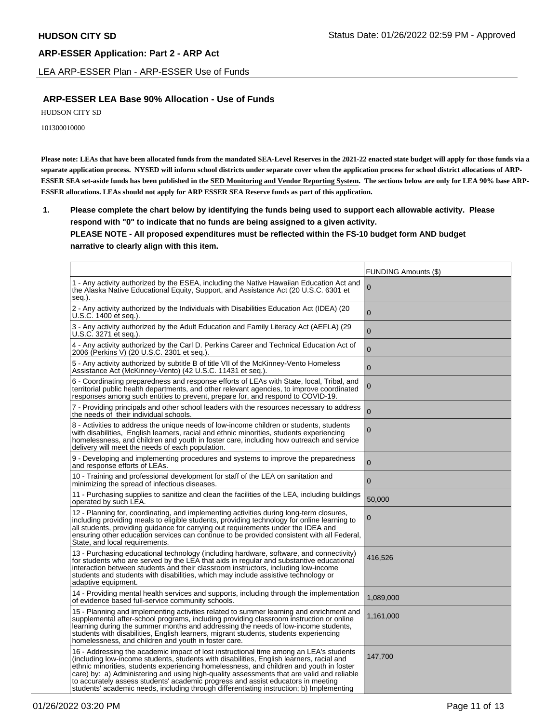LEA ARP-ESSER Plan - ARP-ESSER Use of Funds

### **ARP-ESSER LEA Base 90% Allocation - Use of Funds**

HUDSON CITY SD

101300010000

**Please note: LEAs that have been allocated funds from the mandated SEA-Level Reserves in the 2021-22 enacted state budget will apply for those funds via a separate application process. NYSED will inform school districts under separate cover when the application process for school district allocations of ARP-ESSER SEA set-aside funds has been published in the SED Monitoring and Vendor Reporting System. The sections below are only for LEA 90% base ARP-ESSER allocations. LEAs should not apply for ARP ESSER SEA Reserve funds as part of this application.** 

**1. Please complete the chart below by identifying the funds being used to support each allowable activity. Please respond with "0" to indicate that no funds are being assigned to a given activity. PLEASE NOTE - All proposed expenditures must be reflected within the FS-10 budget form AND budget narrative to clearly align with this item.** 

|                                                                                                                                                                                                                                                                                                                                                                                                                                                                                                                                                            | <b>FUNDING Amounts (\$)</b> |
|------------------------------------------------------------------------------------------------------------------------------------------------------------------------------------------------------------------------------------------------------------------------------------------------------------------------------------------------------------------------------------------------------------------------------------------------------------------------------------------------------------------------------------------------------------|-----------------------------|
| 1 - Any activity authorized by the ESEA, including the Native Hawaiian Education Act and<br>the Alaska Native Educational Equity, Support, and Assistance Act (20 U.S.C. 6301 et<br>seg.).                                                                                                                                                                                                                                                                                                                                                                 | 0                           |
| 2 - Any activity authorized by the Individuals with Disabilities Education Act (IDEA) (20<br>U.S.C. 1400 et seq.).                                                                                                                                                                                                                                                                                                                                                                                                                                         | $\overline{0}$              |
| 3 - Any activity authorized by the Adult Education and Family Literacy Act (AEFLA) (29<br>U.S.C. 3271 et seq.).                                                                                                                                                                                                                                                                                                                                                                                                                                            | $\overline{0}$              |
| 4 - Any activity authorized by the Carl D. Perkins Career and Technical Education Act of<br>2006 (Perkins V) (20 U.S.C. 2301 et seq.).                                                                                                                                                                                                                                                                                                                                                                                                                     | $\overline{0}$              |
| 5 - Any activity authorized by subtitle B of title VII of the McKinney-Vento Homeless<br>Assistance Act (McKinney-Vento) (42 U.S.C. 11431 et seg.).                                                                                                                                                                                                                                                                                                                                                                                                        | $\overline{0}$              |
| 6 - Coordinating preparedness and response efforts of LEAs with State, local, Tribal, and<br>territorial public health departments, and other relevant agencies, to improve coordinated<br>responses among such entities to prevent, prepare for, and respond to COVID-19.                                                                                                                                                                                                                                                                                 | $\mathbf 0$                 |
| 7 - Providing principals and other school leaders with the resources necessary to address<br>the needs of their individual schools.                                                                                                                                                                                                                                                                                                                                                                                                                        | $\overline{0}$              |
| 8 - Activities to address the unique needs of low-income children or students, students<br>with disabilities,English learners, racial and ethnic minorities, students experiencing<br>homelessness, and children and youth in foster care, including how outreach and service<br>delivery will meet the needs of each population.                                                                                                                                                                                                                          | $\overline{0}$              |
| 9 - Developing and implementing procedures and systems to improve the preparedness<br>and response efforts of LEAs.                                                                                                                                                                                                                                                                                                                                                                                                                                        | $\overline{0}$              |
| 10 - Training and professional development for staff of the LEA on sanitation and<br>minimizing the spread of infectious diseases.                                                                                                                                                                                                                                                                                                                                                                                                                         | $\mathbf 0$                 |
| 11 - Purchasing supplies to sanitize and clean the facilities of the LEA, including buildings<br>operated by such LEA.                                                                                                                                                                                                                                                                                                                                                                                                                                     | 50,000                      |
| 12 - Planning for, coordinating, and implementing activities during long-term closures,<br>including providing meals to eligible students, providing technology for online learning to<br>all students, providing guidance for carrying out requirements under the IDEA and<br>ensuring other education services can continue to be provided consistent with all Federal,<br>State, and local requirements.                                                                                                                                                | 0                           |
| 13 - Purchasing educational technology (including hardware, software, and connectivity)<br>for students who are served by the LEA that aids in regular and substantive educational<br>interaction between students and their classroom instructors, including low-income<br>students and students with disabilities, which may include assistive technology or<br>adaptive equipment.                                                                                                                                                                      | 416,526                     |
| 14 - Providing mental health services and supports, including through the implementation<br>of evidence based full-service community schools.                                                                                                                                                                                                                                                                                                                                                                                                              | 1,089,000                   |
| 15 - Planning and implementing activities related to summer learning and enrichment and<br>supplemental after-school programs, including providing classroom instruction or online<br>learning during the summer months and addressing the needs of low-income students,<br>students with disabilities, English learners, migrant students, students experiencing<br>homelessness, and children and youth in foster care.                                                                                                                                  | 1,161,000                   |
| 16 - Addressing the academic impact of lost instructional time among an LEA's students<br>(including low-income students, students with disabilities, English learners, racial and<br>ethnic minorities, students experiencing homelessness, and children and youth in foster<br>care) by: a) Administering and using high-quality assessments that are valid and reliable<br>to accurately assess students' academic progress and assist educators in meeting<br>students' academic needs, including through differentiating instruction; b) Implementing | 147,700                     |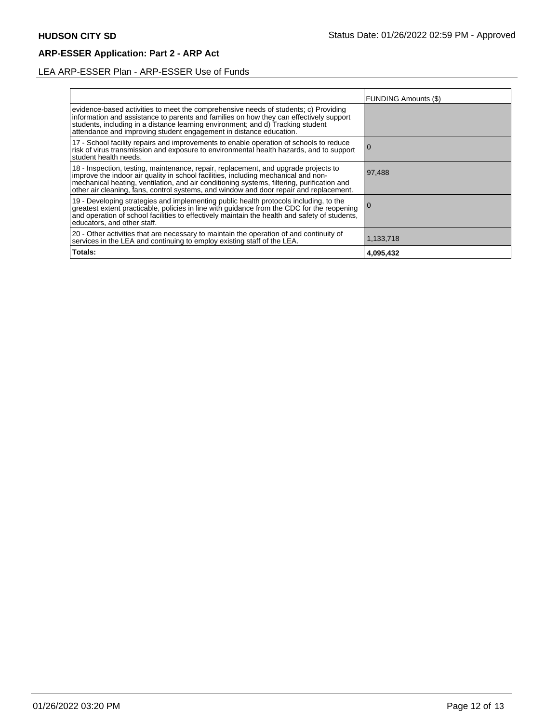# LEA ARP-ESSER Plan - ARP-ESSER Use of Funds

|                                                                                                                                                                                                                                                                                                                                                                | FUNDING Amounts (\$) |
|----------------------------------------------------------------------------------------------------------------------------------------------------------------------------------------------------------------------------------------------------------------------------------------------------------------------------------------------------------------|----------------------|
| evidence-based activities to meet the comprehensive needs of students; c) Providing<br>information and assistance to parents and families on how they can effectively support<br>students, including in a distance learning environment; and d) Tracking student<br>attendance and improving student engagement in distance education.                         |                      |
| 17 - School facility repairs and improvements to enable operation of schools to reduce<br>risk of virus transmission and exposure to environmental health hazards, and to support<br>student health needs.                                                                                                                                                     | l O                  |
| 18 - Inspection, testing, maintenance, repair, replacement, and upgrade projects to improve the indoor air quality in school facilities, including mechanical and non-<br>mechanical heating, ventilation, and air conditioning systems, filtering, purification and<br>other air cleaning, fans, control systems, and window and door repair and replacement. | 97,488               |
| 19 - Developing strategies and implementing public health protocols including, to the<br>greatest extent practicable, policies in line with guidance from the CDC for the reopening<br>and operation of school facilities to effectively maintain the health and safety of students,<br>educators, and other staff.                                            |                      |
| 20 - Other activities that are necessary to maintain the operation of and continuity of<br>services in the LEA and continuing to employ existing staff of the LEA.                                                                                                                                                                                             | 1,133,718            |
| Totals:                                                                                                                                                                                                                                                                                                                                                        | 4,095,432            |